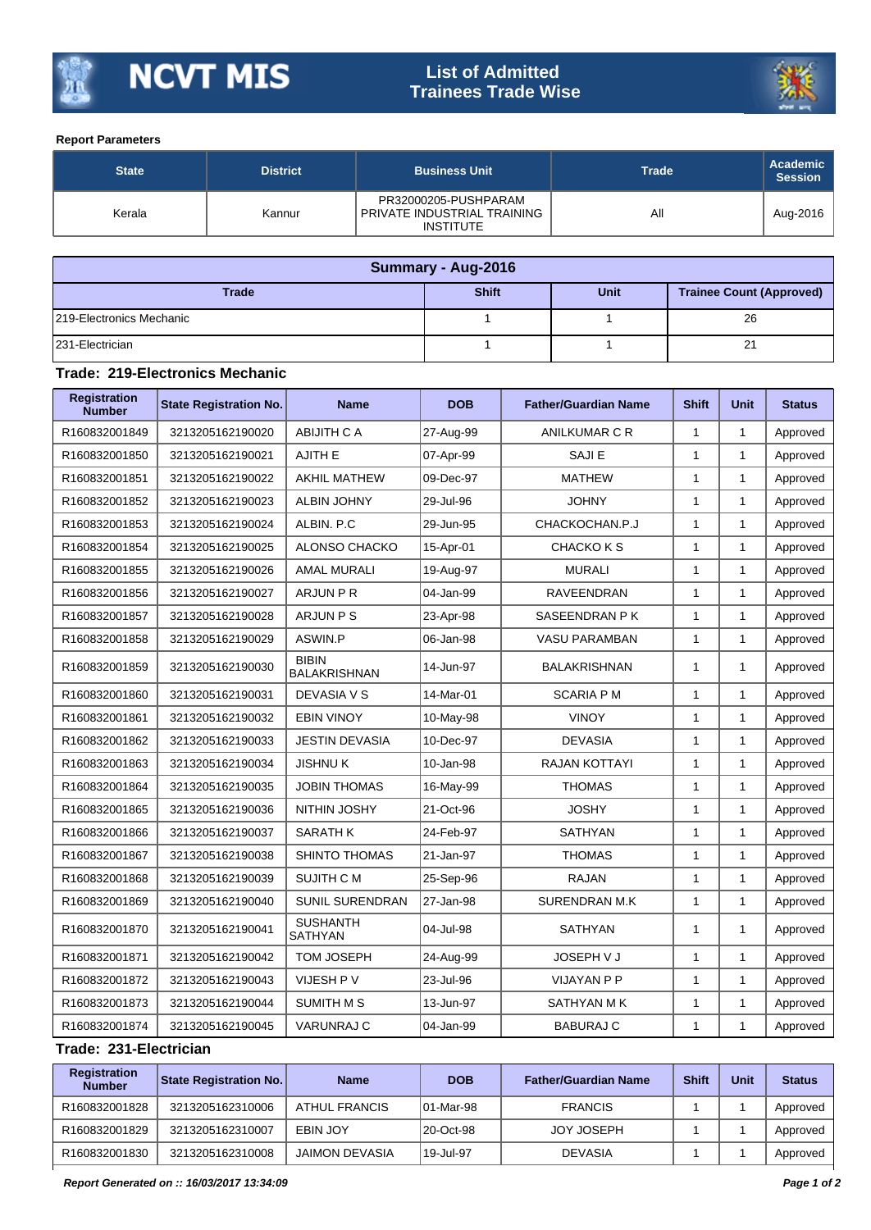

## **List of Admitted Trainees Trade Wise**



## **Report Parameters**

| <b>State</b> | <b>District</b> | <b>Business Unit</b>                                                    | <b>Trade</b> | <b>Academic</b><br><b>Session</b> |
|--------------|-----------------|-------------------------------------------------------------------------|--------------|-----------------------------------|
| Kerala       | Kannur          | PR32000205-PUSHPARAM<br>PRIVATE INDUSTRIAL TRAINING<br><b>INSTITUTE</b> | All          | Aug-2016                          |

| Summary - Aug-2016        |              |             |                                 |  |  |  |
|---------------------------|--------------|-------------|---------------------------------|--|--|--|
| <b>Trade</b>              | <b>Shift</b> | <b>Unit</b> | <b>Trainee Count (Approved)</b> |  |  |  |
| 1219-Electronics Mechanic |              |             | 26                              |  |  |  |
| 231-Electrician           |              |             | 21                              |  |  |  |

## **Trade: 219-Electronics Mechanic**

| <b>Registration</b><br><b>Number</b> | <b>State Registration No.</b> | <b>Name</b>                         | <b>DOB</b> | <b>Father/Guardian Name</b> | <b>Shift</b> | <b>Unit</b>  | <b>Status</b> |
|--------------------------------------|-------------------------------|-------------------------------------|------------|-----------------------------|--------------|--------------|---------------|
| R160832001849                        | 3213205162190020              | ABIJITH C A                         | 27-Aug-99  | ANILKUMAR C R               | $\mathbf{1}$ | $\mathbf{1}$ | Approved      |
| R160832001850                        | 3213205162190021              | <b>AJITH E</b>                      | 07-Apr-99  | <b>SAJIE</b>                | $\mathbf{1}$ | $\mathbf{1}$ | Approved      |
| R160832001851                        | 3213205162190022              | <b>AKHIL MATHEW</b>                 | 09-Dec-97  | <b>MATHEW</b>               | $\mathbf{1}$ | $\mathbf{1}$ | Approved      |
| R160832001852                        | 3213205162190023              | <b>ALBIN JOHNY</b>                  | 29-Jul-96  | <b>JOHNY</b>                | $\mathbf{1}$ | $\mathbf{1}$ | Approved      |
| R160832001853                        | 3213205162190024              | ALBIN. P.C                          | 29-Jun-95  | CHACKOCHAN.P.J              | $\mathbf{1}$ | $\mathbf{1}$ | Approved      |
| R160832001854                        | 3213205162190025              | ALONSO CHACKO                       | 15-Apr-01  | <b>CHACKO K S</b>           | 1            | $\mathbf{1}$ | Approved      |
| R160832001855                        | 3213205162190026              | <b>AMAL MURALI</b>                  | 19-Aug-97  | <b>MURALI</b>               | $\mathbf{1}$ | $\mathbf{1}$ | Approved      |
| R160832001856                        | 3213205162190027              | ARJUN P R                           | 04-Jan-99  | <b>RAVEENDRAN</b>           | $\mathbf{1}$ | $\mathbf{1}$ | Approved      |
| R160832001857                        | 3213205162190028              | ARJUN P S                           | 23-Apr-98  | SASEENDRAN P K              | $\mathbf{1}$ | $\mathbf{1}$ | Approved      |
| R160832001858                        | 3213205162190029              | ASWIN.P                             | 06-Jan-98  | <b>VASU PARAMBAN</b>        | $\mathbf{1}$ | $\mathbf{1}$ | Approved      |
| R160832001859                        | 3213205162190030              | <b>BIBIN</b><br><b>BALAKRISHNAN</b> | 14-Jun-97  | <b>BALAKRISHNAN</b>         | $\mathbf{1}$ | 1            | Approved      |
| R160832001860                        | 3213205162190031              | DEVASIA V S                         | 14-Mar-01  | <b>SCARIA PM</b>            | $\mathbf{1}$ | $\mathbf{1}$ | Approved      |
| R160832001861                        | 3213205162190032              | <b>EBIN VINOY</b>                   | 10-May-98  | <b>VINOY</b>                | $\mathbf{1}$ | 1            | Approved      |
| R160832001862                        | 3213205162190033              | <b>JESTIN DEVASIA</b>               | 10-Dec-97  | <b>DEVASIA</b>              | $\mathbf{1}$ | $\mathbf{1}$ | Approved      |
| R160832001863                        | 3213205162190034              | <b>JISHNUK</b>                      | 10-Jan-98  | <b>RAJAN KOTTAYI</b>        | $\mathbf{1}$ | $\mathbf{1}$ | Approved      |
| R160832001864                        | 3213205162190035              | <b>JOBIN THOMAS</b>                 | 16-May-99  | <b>THOMAS</b>               | $\mathbf{1}$ | $\mathbf{1}$ | Approved      |
| R160832001865                        | 3213205162190036              | NITHIN JOSHY                        | 21-Oct-96  | <b>JOSHY</b>                | $\mathbf{1}$ | $\mathbf{1}$ | Approved      |
| R160832001866                        | 3213205162190037              | <b>SARATH K</b>                     | 24-Feb-97  | <b>SATHYAN</b>              | $\mathbf{1}$ | $\mathbf{1}$ | Approved      |
| R160832001867                        | 3213205162190038              | SHINTO THOMAS                       | 21-Jan-97  | <b>THOMAS</b>               | $\mathbf{1}$ | $\mathbf{1}$ | Approved      |
| R160832001868                        | 3213205162190039              | SUJITH C M                          | 25-Sep-96  | <b>RAJAN</b>                | $\mathbf{1}$ | $\mathbf{1}$ | Approved      |
| R160832001869                        | 3213205162190040              | <b>SUNIL SURENDRAN</b>              | 27-Jan-98  | <b>SURENDRAN M.K</b>        | $\mathbf{1}$ | $\mathbf{1}$ | Approved      |
| R160832001870                        | 3213205162190041              | <b>SUSHANTH</b><br><b>SATHYAN</b>   | 04-Jul-98  | <b>SATHYAN</b>              | $\mathbf{1}$ | $\mathbf{1}$ | Approved      |
| R160832001871                        | 3213205162190042              | <b>TOM JOSEPH</b>                   | 24-Aug-99  | <b>JOSEPH V J</b>           | $\mathbf{1}$ | $\mathbf{1}$ | Approved      |
| R160832001872                        | 3213205162190043              | VIJESH P V                          | 23-Jul-96  | <b>VIJAYAN P P</b>          | $\mathbf{1}$ | $\mathbf{1}$ | Approved      |
| R160832001873                        | 3213205162190044              | SUMITH M S                          | 13-Jun-97  | SATHYAN M K                 | $\mathbf{1}$ | $\mathbf{1}$ | Approved      |
| R160832001874                        | 3213205162190045              | <b>VARUNRAJ C</b>                   | 04-Jan-99  | <b>BABURAJ C</b>            | $\mathbf{1}$ | $\mathbf{1}$ | Approved      |

## **Trade: 231-Electrician**

| Registration<br><b>Number</b> | State Registration No. | <b>Name</b>           | <b>DOB</b> | <b>Father/Guardian Name</b> | <b>Shift</b> | Unit | <b>Status</b> |
|-------------------------------|------------------------|-----------------------|------------|-----------------------------|--------------|------|---------------|
| R160832001828                 | 3213205162310006       | ATHUL FRANCIS         | 101-Mar-98 | <b>FRANCIS</b>              |              |      | Approved      |
| R160832001829                 | 3213205162310007       | EBIN JOY              | 20-Oct-98  | <b>JOY JOSEPH</b>           |              |      | Approved      |
| R160832001830                 | 3213205162310008       | <b>JAIMON DEVASIA</b> | 19-Jul-97  | <b>DEVASIA</b>              |              |      | Approved      |